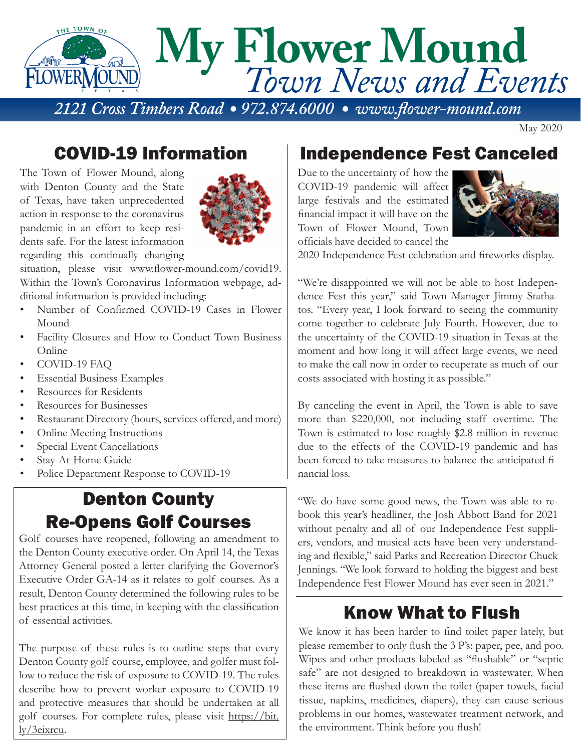

May 2020

### COVID-19 Information

The Town of Flower Mound, along with Denton County and the State of Texas, have taken unprecedented action in response to the coronavirus pandemic in an effort to keep residents safe. For the latest information regarding this continually changing



situation, please visit www.flower-mound.com/covid19. Within the Town's Coronavirus Information webpage, additional information is provided including:

- Number of Confirmed COVID-19 Cases in Flower Mound
- Facility Closures and How to Conduct Town Business Online
- COVID-19 FAQ
- Essential Business Examples
- Resources for Residents
- Resources for Businesses
- Restaurant Directory (hours, services offered, and more)
- Online Meeting Instructions
- Special Event Cancellations
- Stay-At-Home Guide
- Police Department Response to COVID-19

## Denton County Re-Opens Golf Courses

Golf courses have reopened, following an amendment to the Denton County executive order. On April 14, the Texas Attorney General posted a letter clarifying the Governor's Executive Order GA-14 as it relates to golf courses. As a result, Denton County determined the following rules to be best practices at this time, in keeping with the classification of essential activities.

The purpose of these rules is to outline steps that every Denton County golf course, employee, and golfer must follow to reduce the risk of exposure to COVID-19. The rules describe how to prevent worker exposure to COVID-19 and protective measures that should be undertaken at all golf courses. For complete rules, please visit https://bit. ly/3eixrcu.

#### Independence Fest Canceled

Due to the uncertainty of how the COVID-19 pandemic will affect large festivals and the estimated financial impact it will have on the Town of Flower Mound, Town officials have decided to cancel the



2020 Independence Fest celebration and fireworks display.

"We're disappointed we will not be able to host Independence Fest this year," said Town Manager Jimmy Stathatos. "Every year, I look forward to seeing the community come together to celebrate July Fourth. However, due to the uncertainty of the COVID-19 situation in Texas at the moment and how long it will affect large events, we need to make the call now in order to recuperate as much of our costs associated with hosting it as possible."

By canceling the event in April, the Town is able to save more than \$220,000, not including staff overtime. The Town is estimated to lose roughly \$2.8 million in revenue due to the effects of the COVID-19 pandemic and has been forced to take measures to balance the anticipated financial loss.

"We do have some good news, the Town was able to rebook this year's headliner, the Josh Abbott Band for 2021 without penalty and all of our Independence Fest suppliers, vendors, and musical acts have been very understanding and flexible," said Parks and Recreation Director Chuck Jennings. "We look forward to holding the biggest and best Independence Fest Flower Mound has ever seen in 2021."

#### Know What to Flush

We know it has been harder to find toilet paper lately, but please remember to only flush the 3 P's: paper, pee, and poo. Wipes and other products labeled as "flushable" or "septic safe" are not designed to breakdown in wastewater. When these items are flushed down the toilet (paper towels, facial tissue, napkins, medicines, diapers), they can cause serious problems in our homes, wastewater treatment network, and the environment. Think before you flush!